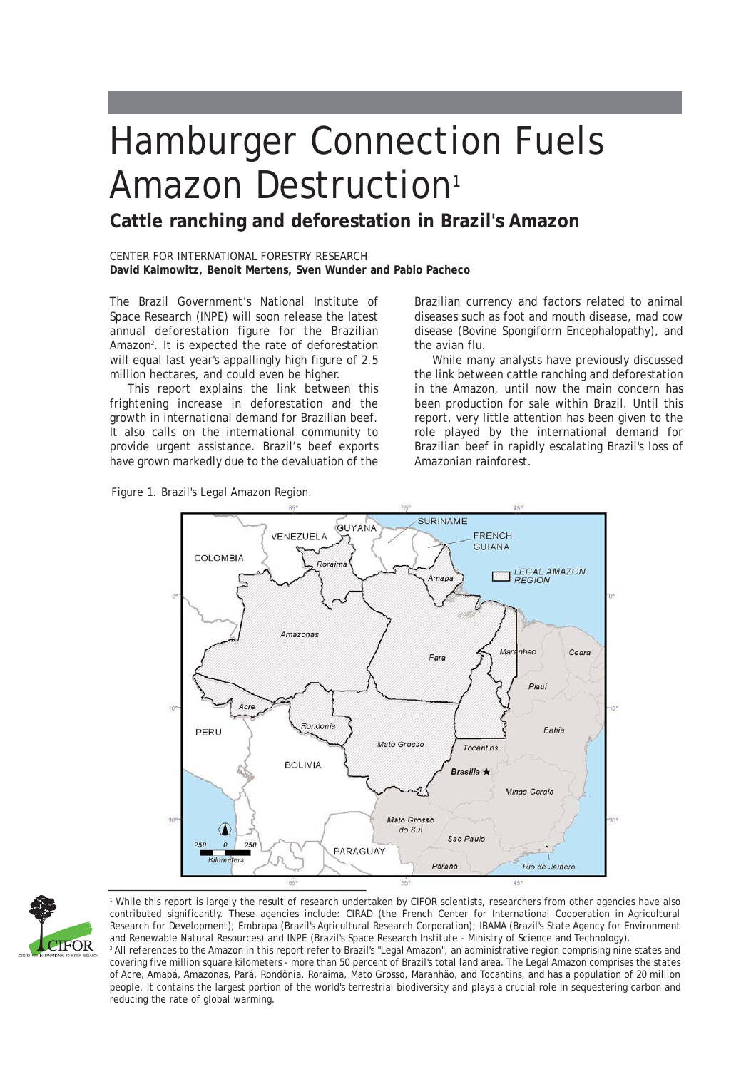# Hamburger Connection Fuels Amazon Destruction<sup>1</sup>

## **Cattle ranching and deforestation in Brazil's Amazon**

CENTER FOR INTERNATIONAL FORESTRY RESEARCH **David Kaimowitz, Benoit Mertens, Sven Wunder and Pablo Pacheco** 

The Brazil Government's National Institute of Space Research (INPE) will soon release the latest annual deforestation figure for the Brazilian Amazon<sup>2</sup>. It is expected the rate of deforestation will equal last year's appallingly high figure of 2.5 million hectares, and could even be higher.

This report explains the link between this frightening increase in deforestation and the growth in international demand for Brazilian beef. It also calls on the international community to provide urgent assistance. Brazil's beef exports have grown markedly due to the devaluation of the



Brazilian currency and factors related to animal diseases such as foot and mouth disease, mad cow disease (Bovine Spongiform Encephalopathy), and the avian flu.

While many analysts have previously discussed the link between cattle ranching and deforestation in the Amazon, until now the main concern has been production for sale within Brazil. Until this report, very little attention has been given to the role played by the international demand for Brazilian beef in rapidly escalating Brazil's loss of Amazonian rainforest.





<sup>1</sup> While this report is largely the result of research undertaken by CIFOR scientists, researchers from other agencies have also contributed significantly. These agencies include: CIRAD (the French Center for International Cooperation in Agricultural Research for Development); Embrapa (Brazil's Agricultural Research Corporation); IBAMA (Brazil's State Agency for Environment and Renewable Natural Resources) and INPE (Brazil's Space Research Institute - Ministry of Science and Technology). <sup>2</sup> All references to the Amazon in this report refer to Brazil's "Legal Amazon", an administrative region comprising nine states and

covering five million square kilometers - more than 50 percent of Brazil's total land area. The Legal Amazon comprises the states of Acre, Amapá, Amazonas, Pará, Rondônia, Roraima, Mato Grosso, Maranhão, and Tocantins, and has a population of 20 million people. It contains the largest portion of the world's terrestrial biodiversity and plays a crucial role in sequestering carbon and reducing the rate of global warming.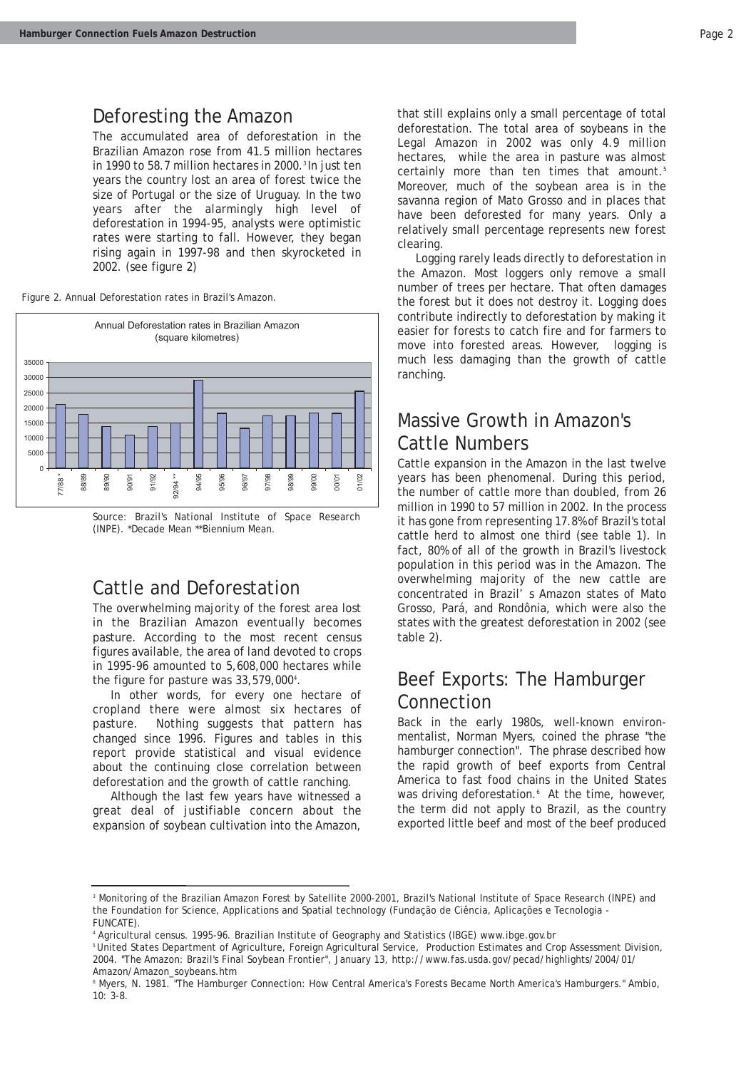## Deforesting the Amazon

The accumulated area of deforestation in the Brazilian Amazon rose from 41.5 million hectares in 1990 to 58.7 million hectares in 2000.<sup>3</sup> In just ten years the country lost an area of forest twice the size of Portugal or the size of Uruguay. In the two years after the alarmingly high level of deforestation in 1994-95, analysts were optimistic rates were starting to fall. However, they began rising again in 1997-98 and then skyrocketed in 2002. (see figure 2)





Source: Brazil's National Institute of Space Research (INPE). \*Decade Mean \*\*Biennium Mean.

## Cattle and Deforestation

The overwhelming majority of the forest area lost in the Brazilian Amazon eventually becomes pasture. According to the most recent census figures available, the area of land devoted to crops in 1995-96 amounted to 5,608,000 hectares while the figure for pasture was 33,579,0004.

In other words, for every one hectare of cropland there were almost six hectares of pasture. Nothing suggests that pattern has changed since 1996. Figures and tables in this report provide statistical and visual evidence about the continuing close correlation between deforestation and the growth of cattle ranching.

Although the last few years have witnessed a great deal of justifiable concern about the expansion of soybean cultivation into the Amazon,

that still explains only a small percentage of total deforestation. The total area of soybeans in the Legal Amazon in 2002 was only 4.9 million hectares, while the area in pasture was almost certainly more than ten times that amount.<sup>5</sup> Moreover, much of the soybean area is in the savanna region of Mato Grosso and in places that have been deforested for many years. Only a relatively small percentage represents new forest clearing.

Logging rarely leads directly to deforestation in the Amazon. Most loggers only remove a small number of trees per hectare. That often damages the forest but it does not destroy it. Logging does contribute indirectly to deforestation by making it easier for forests to catch fire and for farmers to move into forested areas. However, logging is much less damaging than the growth of cattle ranching.

## Massive Growth in Amazon's Cattle Numbers

Cattle expansion in the Amazon in the last twelve years has been phenomenal. During this period, the number of cattle more than doubled, from 26 million in 1990 to 57 million in 2002. In the process it has gone from representing 17.8% of Brazil's total cattle herd to almost one third (see table 1). In fact, 80% of all of the growth in Brazil's livestock population in this period was in the Amazon. The overwhelming majority of the new cattle are concentrated in Brazil' s Amazon states of Mato Grosso, Pará, and Rondônia, which were also the states with the greatest deforestation in 2002 (see table 2).

# Beef Exports: The Hamburger Connection

Back in the early 1980s, well-known environmentalist, Norman Myers, coined the phrase "the hamburger connection". The phrase described how the rapid growth of beef exports from Central America to fast food chains in the United States was driving deforestation.<sup>6</sup> At the time, however, the term did not apply to Brazil, as the country exported little beef and most of the beef produced

<sup>3</sup> Monitoring of the Brazilian Amazon Forest by Satellite 2000-2001, Brazil's National Institute of Space Research (INPE) and the Foundation for Science, Applications and Spatial technology (Fundação de Ciência, Aplicações e Tecnologia - FUNCATE).

<sup>4</sup> Agricultural census. 1995-96. Brazilian Institute of Geography and Statistics (IBGE) www.ibge.gov.br

<sup>5</sup> United States Department of Agriculture, Foreign Agricultural Service, Production Estimates and Crop Assessment Division, 2004. "The Amazon: Brazil's Final Soybean Frontier", January 13, http://www.fas.usda.gov/pecad/highlights/2004/01/ Amazon/Amazon\_soybeans.htm

<sup>6</sup> Myers, N. 1981. "The Hamburger Connection: How Central America's Forests Became North America's Hamburgers." Ambio, 10: 3-8.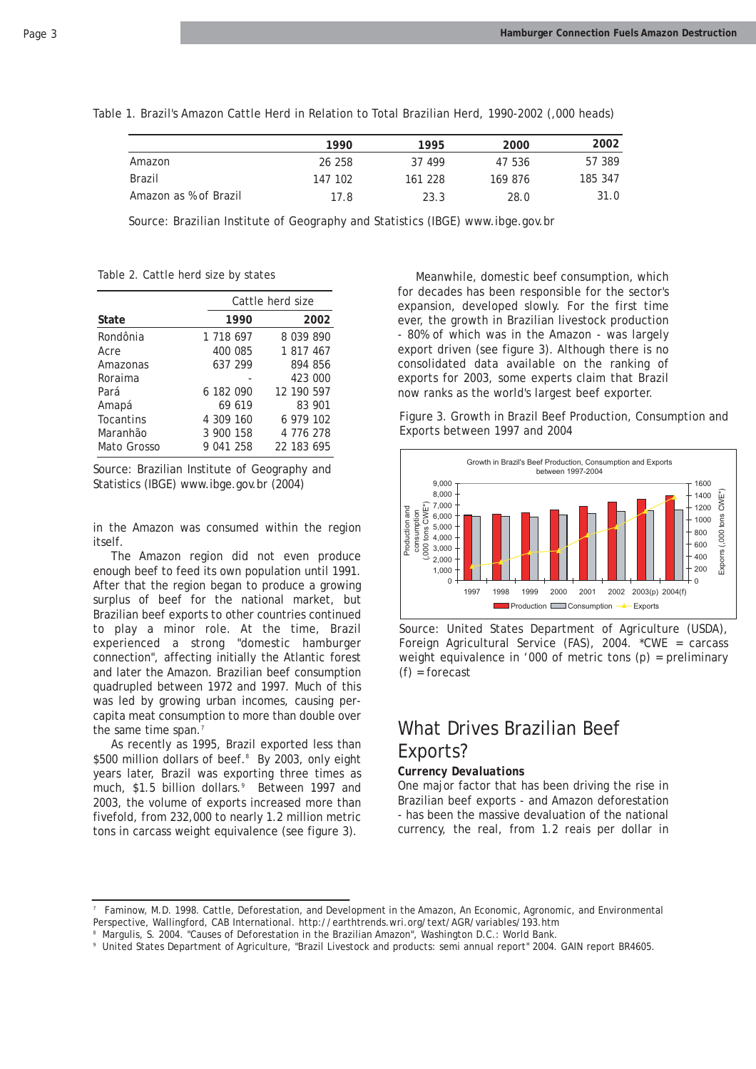|  |  |  |  | Table 1. Brazil's Amazon Cattle Herd in Relation to Total Brazilian Herd, 1990-2002 (,000 heads) |  |  |
|--|--|--|--|--------------------------------------------------------------------------------------------------|--|--|
|--|--|--|--|--------------------------------------------------------------------------------------------------|--|--|

|                       | 1990    | 1995    | 2000    | 2002    |
|-----------------------|---------|---------|---------|---------|
| Amazon                | 26 258  | 37 499  | 47 536  | 57 389  |
| Brazil                | 147 102 | 161 228 | 169 876 | 185 347 |
| Amazon as % of Brazil | 17.8    | 23.3    | 28.0    | 31.0    |

Source: Brazilian Institute of Geography and Statistics (IBGE) www.ibge.gov.br

Table 2. Cattle herd size by states

|             |           | Cattle herd size |  |  |  |
|-------------|-----------|------------------|--|--|--|
| State       | 1990      | 2002             |  |  |  |
| Rondônia    | 1 718 697 | 8 039 890        |  |  |  |
| Acre        | 400 085   | 1 817 467        |  |  |  |
| Amazonas    | 637 299   | 894 856          |  |  |  |
| Roraima     |           | 423 000          |  |  |  |
| Pará        | 6 182 090 | 12 190 597       |  |  |  |
| Amapá       | 69 619    | 83 901           |  |  |  |
| Tocantins   | 4 309 160 | 6 979 102        |  |  |  |
| Maranhão    | 3 900 158 | 4 776 278        |  |  |  |
| Mato Grosso | 9 041 258 | 22 183 695       |  |  |  |

Source: Brazilian Institute of Geography and Statistics (IBGE) www.ibge.gov.br (2004)

in the Amazon was consumed within the region itself.

The Amazon region did not even produce enough beef to feed its own population until 1991. After that the region began to produce a growing surplus of beef for the national market, but Brazilian beef exports to other countries continued to play a minor role. At the time, Brazil experienced a strong "domestic hamburger connection", affecting initially the Atlantic forest and later the Amazon. Brazilian beef consumption quadrupled between 1972 and 1997. Much of this was led by growing urban incomes, causing percapita meat consumption to more than double over the same time span.<sup>7</sup>

As recently as 1995, Brazil exported less than \$500 million dollars of beef.<sup>8</sup> By 2003, only eight years later, Brazil was exporting three times as much, \$1.5 billion dollars.<sup>9</sup> Between 1997 and 2003, the volume of exports increased more than fivefold, from 232,000 to nearly 1.2 million metric tons in carcass weight equivalence (see figure 3).

Meanwhile, domestic beef consumption, which for decades has been responsible for the sector's expansion, developed slowly. For the first time ever, the growth in Brazilian livestock production - 80% of which was in the Amazon - was largely export driven (see figure 3). Although there is no consolidated data available on the ranking of exports for 2003, some experts claim that Brazil now ranks as the world's largest beef exporter.

Figure 3. Growth in Brazil Beef Production, Consumption and Exports between 1997 and 2004



Source: United States Department of Agriculture (USDA), Foreign Agricultural Service (FAS), 2004. \*CWE = carcass weight equivalence in '000 of metric tons (p) = preliminary (f) = forecast

## What Drives Brazilian Beef Exports?

#### *Currency Devaluations*

One major factor that has been driving the rise in Brazilian beef exports - and Amazon deforestation - has been the massive devaluation of the national currency, the real, from 1.2 reais per dollar in

Faminow, M.D. 1998. Cattle, Deforestation, and Development in the Amazon, An Economic, Agronomic, and Environmental Perspective, Wallingford, CAB International. http://earthtrends.wri.org/text/AGR/variables/193.htm

Margulis, S. 2004. "Causes of Deforestation in the Brazilian Amazon", Washington D.C.: World Bank.

<sup>9</sup> United States Department of Agriculture, "Brazil Livestock and products: semi annual report" 2004. GAIN report BR4605.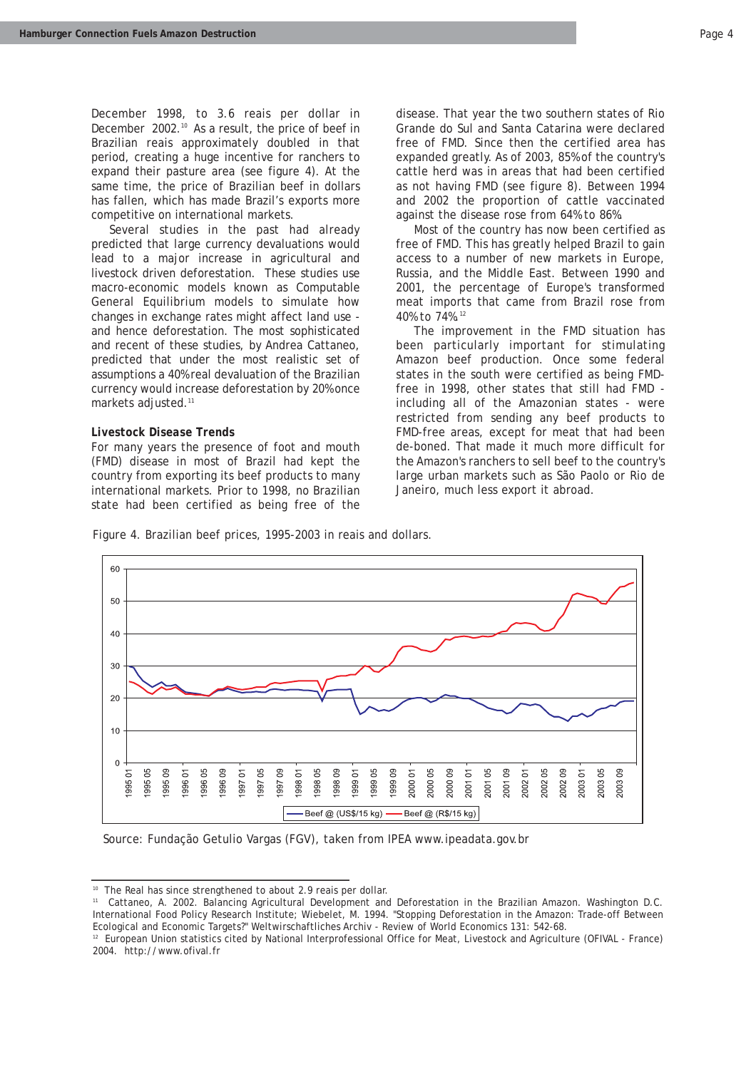December 1998, to 3.6 reais per dollar in December 2002.<sup>10</sup> As a result, the price of beef in Brazilian reais approximately doubled in that period, creating a huge incentive for ranchers to expand their pasture area (see figure 4). At the same time, the price of Brazilian beef in dollars has fallen, which has made Brazil's exports more competitive on international markets.

Several studies in the past had already predicted that large currency devaluations would lead to a major increase in agricultural and livestock driven deforestation. These studies use macro-economic models known as Computable General Equilibrium models to simulate how changes in exchange rates might affect land use and hence deforestation. The most sophisticated and recent of these studies, by Andrea Cattaneo, predicted that under the most realistic set of assumptions a 40% real devaluation of the Brazilian currency would increase deforestation by 20% once markets adjusted.<sup>11</sup>

#### *Livestock Disease Trends*

For many years the presence of foot and mouth (FMD) disease in most of Brazil had kept the country from exporting its beef products to many international markets. Prior to 1998, no Brazilian state had been certified as being free of the

disease. That year the two southern states of Rio Grande do Sul and Santa Catarina were declared free of FMD. Since then the certified area has expanded greatly. As of 2003, 85% of the country's cattle herd was in areas that had been certified as not having FMD (see figure 8). Between 1994 and 2002 the proportion of cattle vaccinated against the disease rose from 64% to 86%.

Most of the country has now been certified as free of FMD. This has greatly helped Brazil to gain access to a number of new markets in Europe, Russia, and the Middle East. Between 1990 and 2001, the percentage of Europe's transformed meat imports that came from Brazil rose from 40% to 74%.12

The improvement in the FMD situation has been particularly important for stimulating Amazon beef production. Once some federal states in the south were certified as being FMDfree in 1998, other states that still had FMD including all of the Amazonian states - were restricted from sending any beef products to FMD-free areas, except for meat that had been de-boned. That made it much more difficult for the Amazon's ranchers to sell beef to the country's large urban markets such as São Paolo or Rio de Janeiro, much less export it abroad.

Figure 4. Brazilian beef prices, 1995-2003 in reais and dollars.



Source: Fundação Getulio Vargas (FGV), taken from IPEA www.ipeadata.gov.br

The Real has since strengthened to about 2.9 reais per dollar.

<sup>11</sup> Cattaneo, A. 2002. Balancing Agricultural Development and Deforestation in the Brazilian Amazon. Washington D.C. International Food Policy Research Institute; Wiebelet, M. 1994. "Stopping Deforestation in the Amazon: Trade-off Between Ecological and Economic Targets?" Weltwirschaftliches Archiv - Review of World Economics 131: 542-68.

<sup>&</sup>lt;sup>12</sup> European Union statistics cited by National Interprofessional Office for Meat, Livestock and Agriculture (OFIVAL - France) 2004. http://www.ofival.fr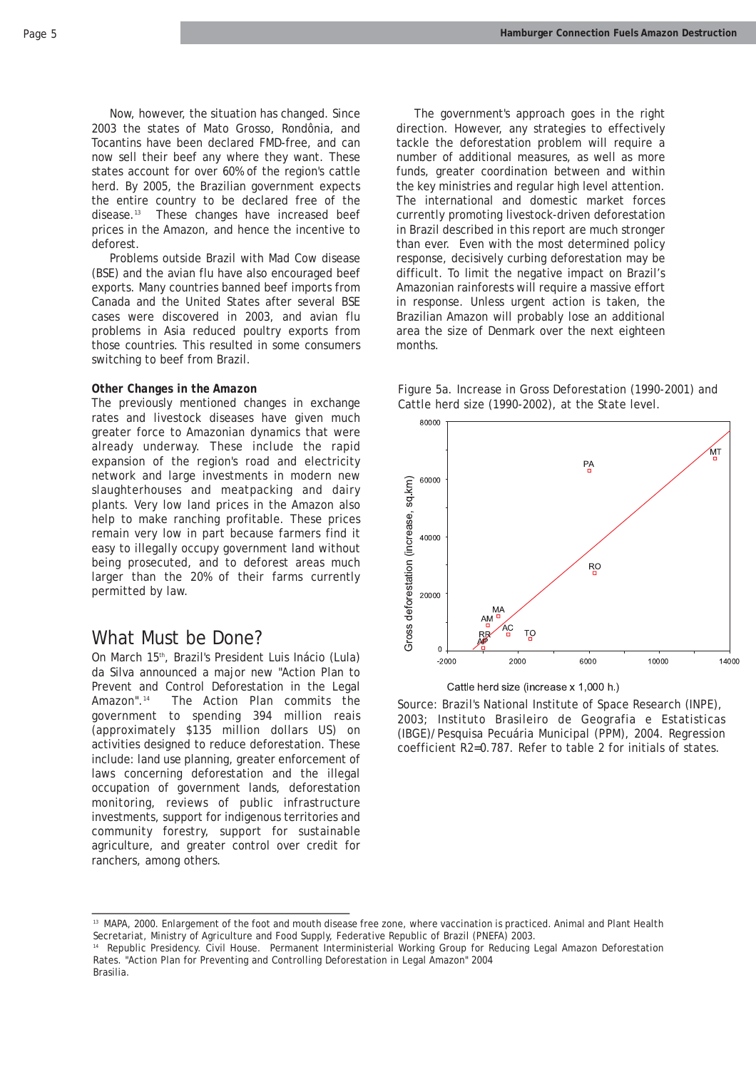Now, however, the situation has changed. Since 2003 the states of Mato Grosso, Rondônia, and Tocantins have been declared FMD-free, and can now sell their beef any where they want. These states account for over 60% of the region's cattle herd. By 2005, the Brazilian government expects the entire country to be declared free of the disease.13 These changes have increased beef prices in the Amazon, and hence the incentive to deforest.

Problems outside Brazil with Mad Cow disease (BSE) and the avian flu have also encouraged beef exports. Many countries banned beef imports from Canada and the United States after several BSE cases were discovered in 2003, and avian flu problems in Asia reduced poultry exports from those countries. This resulted in some consumers switching to beef from Brazil.

#### *Other Changes in the Amazon*

The previously mentioned changes in exchange rates and livestock diseases have given much greater force to Amazonian dynamics that were already underway. These include the rapid expansion of the region's road and electricity network and large investments in modern new slaughterhouses and meatpacking and dairy plants. Very low land prices in the Amazon also help to make ranching profitable. These prices remain very low in part because farmers find it easy to illegally occupy government land without being prosecuted, and to deforest areas much larger than the 20% of their farms currently permitted by law.

## What Must be Done?

On March 15<sup>th</sup>, Brazil's President Luis Inácio (Lula) da Silva announced a major new "Action Plan to Prevent and Control Deforestation in the Legal Amazon".14 The Action Plan commits the government to spending 394 million reais (approximately \$135 million dollars US) on activities designed to reduce deforestation. These include: land use planning, greater enforcement of laws concerning deforestation and the illegal occupation of government lands, deforestation monitoring, reviews of public infrastructure investments, support for indigenous territories and community forestry, support for sustainable agriculture, and greater control over credit for ranchers, among others.

The government's approach goes in the right direction. However, any strategies to effectively tackle the deforestation problem will require a number of additional measures, as well as more funds, greater coordination between and within the key ministries and regular high level attention. The international and domestic market forces currently promoting livestock-driven deforestation in Brazil described in this report are much stronger than ever. Even with the most determined policy response, decisively curbing deforestation may be difficult. To limit the negative impact on Brazil's Amazonian rainforests will require a massive effort in response. Unless urgent action is taken, the Brazilian Amazon will probably lose an additional area the size of Denmark over the next eighteen months.





Cattle herd size (increase x 1,000 h.)

Source: Brazil's National Institute of Space Research (INPE), 2003; Instituto Brasileiro de Geografia e Estatisticas (IBGE)/Pesquisa Pecuária Municipal (PPM), 2004. Regression coefficient R2=0.787. Refer to table 2 for initials of states.

Brasilia.

<sup>&</sup>lt;sup>13</sup> MAPA, 2000. Enlargement of the foot and mouth disease free zone, where vaccination is practiced. Animal and Plant Health Secretariat, Ministry of Agriculture and Food Supply, Federative Republic of Brazil (PNEFA) 2003.

Republic Presidency. Civil House. Permanent Interministerial Working Group for Reducing Legal Amazon Deforestation Rates. "Action Plan for Preventing and Controlling Deforestation in Legal Amazon" 2004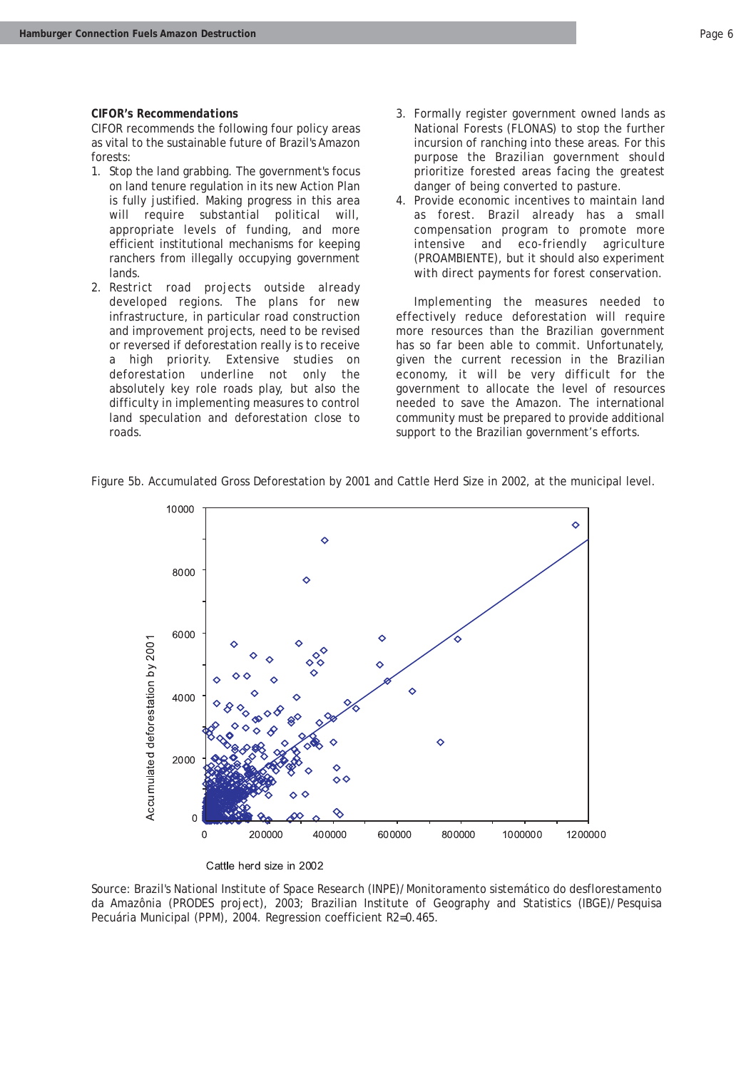CIFOR recommends the following four policy areas as vital to the sustainable future of Brazil's Amazon forests:

- 1. Stop the land grabbing. The government's focus on land tenure regulation in its new Action Plan is fully justified. Making progress in this area will require substantial political will, appropriate levels of funding, and more efficient institutional mechanisms for keeping ranchers from illegally occupying government lands.
- 2. Restrict road projects outside already developed regions. The plans for new infrastructure, in particular road construction and improvement projects, need to be revised or reversed if deforestation really is to receive a high priority. Extensive studies on deforestation underline not only the absolutely key role roads play, but also the difficulty in implementing measures to control land speculation and deforestation close to roads.
- 3. Formally register government owned lands as National Forests (FLONAS) to stop the further incursion of ranching into these areas. For this purpose the Brazilian government should prioritize forested areas facing the greatest danger of being converted to pasture.
- 4. Provide economic incentives to maintain land as forest. Brazil already has a small compensation program to promote more intensive and eco-friendly agriculture (PROAMBIENTE), but it should also experiment with direct payments for forest conservation.

Implementing the measures needed to effectively reduce deforestation will require more resources than the Brazilian government has so far been able to commit. Unfortunately, given the current recession in the Brazilian economy, it will be very difficult for the government to allocate the level of resources needed to save the Amazon. The international community must be prepared to provide additional support to the Brazilian government's efforts.



Figure 5b. Accumulated Gross Deforestation by 2001 and Cattle Herd Size in 2002, at the municipal level.

#### Cattle herd size in 2002

Source: Brazil's National Institute of Space Research (INPE)/Monitoramento sistemático do desflorestamento da Amazônia (PRODES project), 2003; Brazilian Institute of Geography and Statistics (IBGE)/Pesquisa Pecuária Municipal (PPM), 2004. Regression coefficient R2=0.465.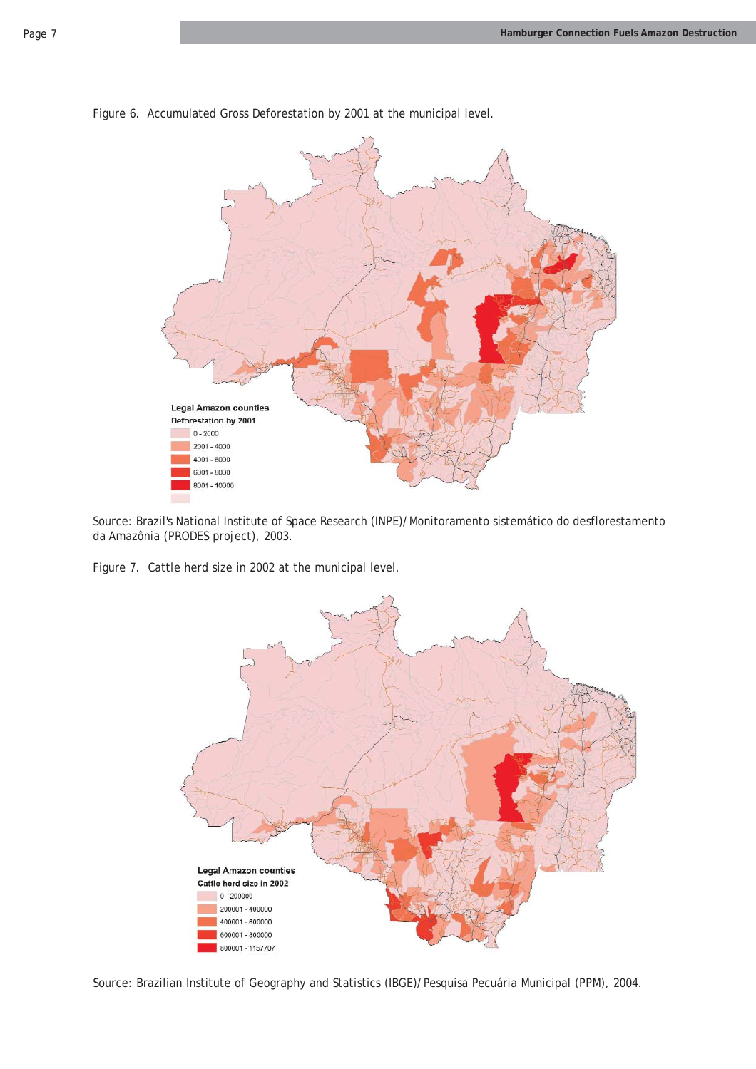

Figure 6. Accumulated Gross Deforestation by 2001 at the municipal level.

Source: Brazil's National Institute of Space Research (INPE)/Monitoramento sistemático do desflorestamento da Amazônia (PRODES project), 2003.

Figure 7. Cattle herd size in 2002 at the municipal level.



Source: Brazilian Institute of Geography and Statistics (IBGE)/Pesquisa Pecuária Municipal (PPM), 2004.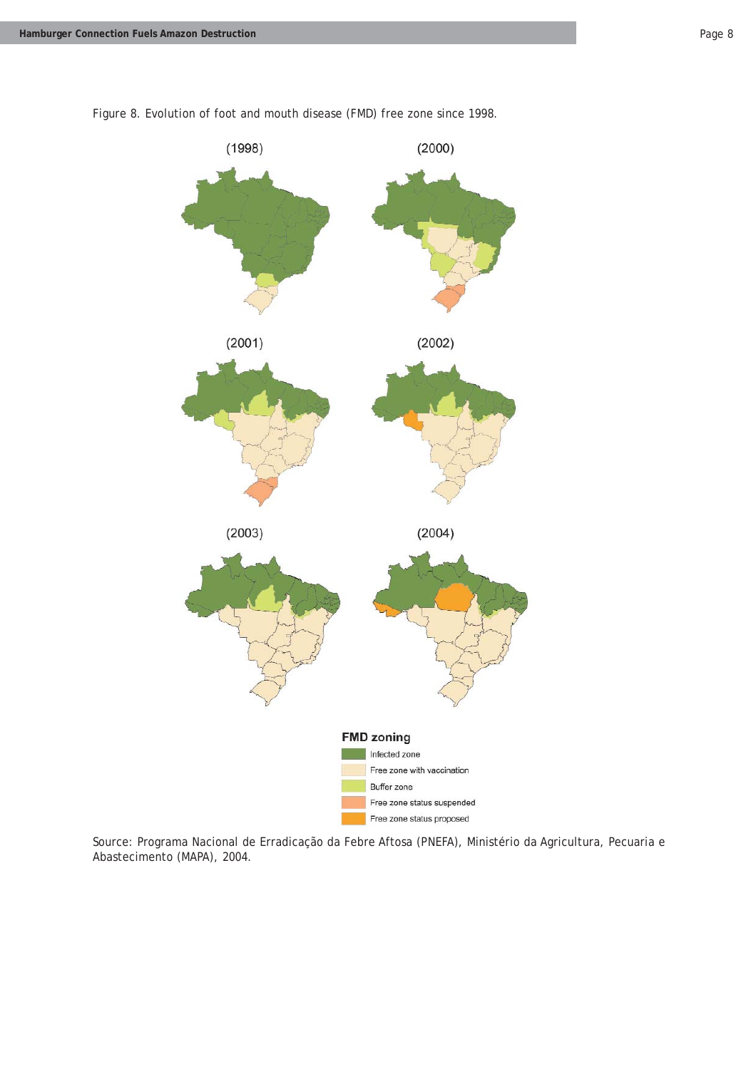

Figure 8. Evolution of foot and mouth disease (FMD) free zone since 1998.

Source: Programa Nacional de Erradicação da Febre Aftosa (PNEFA), Ministério da Agricultura, Pecuaria e Abastecimento (MAPA), 2004.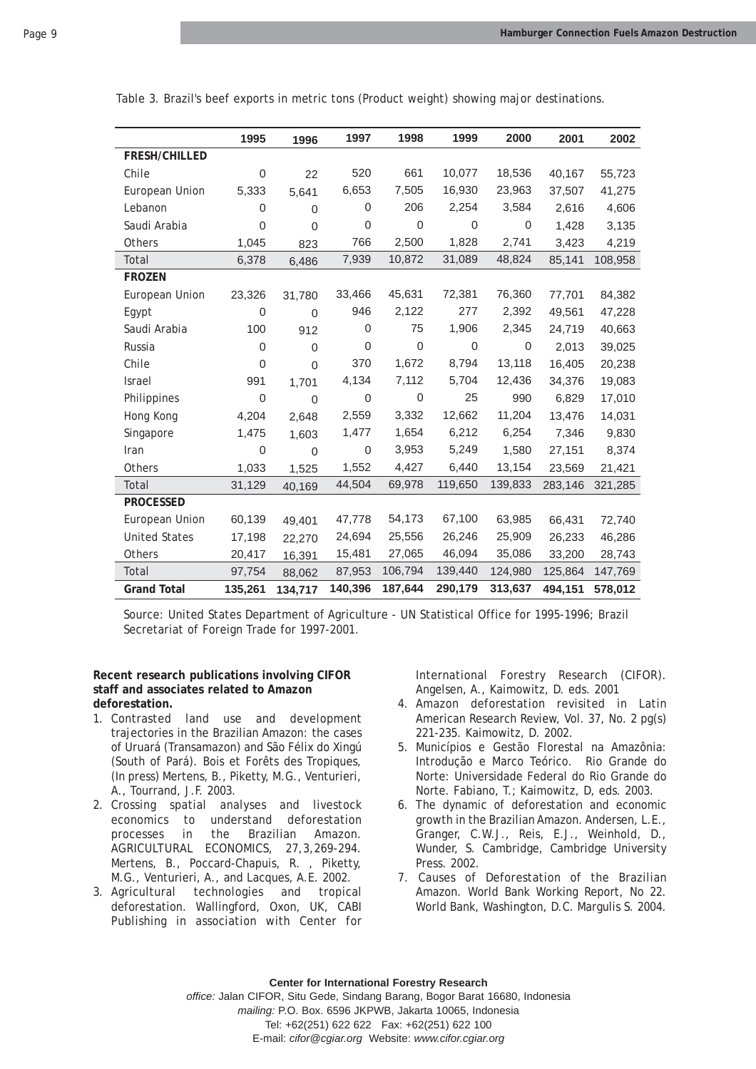|                      | 1995           | 1996           | 1997             | 1998        | 1999     | 2000        | 2001    | 2002    |
|----------------------|----------------|----------------|------------------|-------------|----------|-------------|---------|---------|
| FRESH/CHILLED        |                |                |                  |             |          |             |         |         |
| Chile                | $\mathbf 0$    | 22             | 520              | 661         | 10,077   | 18,536      | 40,167  | 55,723  |
| European Union       | 5,333          | 5,641          | 6,653            | 7,505       | 16,930   | 23,963      | 37,507  | 41,275  |
| Lebanon              | $\mathbf 0$    | $\mathbf 0$    | 0                | 206         | 2,254    | 3,584       | 2,616   | 4,606   |
| Saudi Arabia         | $\mathbf 0$    | $\Omega$       | $\overline{0}$   | $\Omega$    | $\Omega$ | $\mathbf 0$ | 1,428   | 3,135   |
| Others               | 1,045          | 823            | 766              | 2,500       | 1,828    | 2,741       | 3,423   | 4,219   |
| Total                | 6,378          | 6,486          | 7,939            | 10,872      | 31,089   | 48,824      | 85,141  | 108,958 |
| <b>FROZEN</b>        |                |                |                  |             |          |             |         |         |
| European Union       | 23,326         | 31,780         | 33,466           | 45,631      | 72,381   | 76,360      | 77,701  | 84,382  |
| Egypt                | $\Omega$       | $\Omega$       | 946              | 2,122       | 277      | 2,392       | 49,561  | 47,228  |
| Saudi Arabia         | 100            | 912            | $\overline{0}$   | 75          | 1,906    | 2,345       | 24,719  | 40,663  |
| Russia               | $\mathbf 0$    | $\mathbf 0$    | 0                | $\mathbf 0$ | 0        | $\mathbf 0$ | 2,013   | 39,025  |
| Chile                | $\Omega$       | $\Omega$       | 370              | 1,672       | 8,794    | 13,118      | 16,405  | 20,238  |
| <b>Israel</b>        | 991            | 1,701          | 4,134            | 7,112       | 5,704    | 12,436      | 34,376  | 19,083  |
| Philippines          | $\overline{0}$ | $\overline{0}$ | $\boldsymbol{0}$ | $\mathbf 0$ | 25       | 990         | 6,829   | 17,010  |
| Hong Kong            | 4,204          | 2,648          | 2,559            | 3,332       | 12,662   | 11,204      | 13,476  | 14,031  |
| Singapore            | 1,475          | 1,603          | 1,477            | 1,654       | 6,212    | 6,254       | 7,346   | 9,830   |
| Iran                 | $\Omega$       | $\Omega$       | $\mathbf 0$      | 3,953       | 5,249    | 1,580       | 27,151  | 8,374   |
| Others               | 1,033          | 1,525          | 1,552            | 4,427       | 6,440    | 13,154      | 23,569  | 21,421  |
| Total                | 31,129         | 40,169         | 44,504           | 69,978      | 119,650  | 139,833     | 283,146 | 321,285 |
| <b>PROCESSED</b>     |                |                |                  |             |          |             |         |         |
| European Union       | 60,139         | 49,401         | 47,778           | 54,173      | 67,100   | 63,985      | 66,431  | 72,740  |
| <b>United States</b> | 17,198         | 22,270         | 24,694           | 25,556      | 26,246   | 25,909      | 26,233  | 46,286  |
| Others               | 20,417         | 16,391         | 15,481           | 27,065      | 46,094   | 35,086      | 33,200  | 28,743  |
| Total                | 97,754         | 88,062         | 87,953           | 106,794     | 139,440  | 124,980     | 125,864 | 147,769 |
| <b>Grand Total</b>   | 135,261        | 134,717        | 140,396          | 187,644     | 290,179  | 313,637     | 494,151 | 578,012 |

Table 3. Brazil's beef exports in metric tons (Product weight) showing major destinations.

Source: United States Department of Agriculture - UN Statistical Office for 1995-1996; Brazil Secretariat of Foreign Trade for 1997-2001.

### **Recent research publications involving CIFOR staff and associates related to Amazon deforestation.**

- 1. Contrasted land use and development trajectories in the Brazilian Amazon: the cases of Uruará (Transamazon) and São Félix do Xingú (South of Pará). Bois et Forêts des Tropiques, (In press) Mertens, B., Piketty, M.G., Venturieri, A., Tourrand, J.F. 2003.
- 2. Crossing spatial analyses and livestock economics to understand deforestation processes in the Brazilian Amazon. AGRICULTURAL ECONOMICS, 27,3,269-294. Mertens, B., Poccard-Chapuis, R. , Piketty, M.G., Venturieri, A., and Lacques, A.E. 2002.
- 3. Agricultural technologies and tropical deforestation. Wallingford, Oxon, UK, CABI Publishing in association with Center for

International Forestry Research (CIFOR). Angelsen, A., Kaimowitz, D. eds. 2001

- 4. Amazon deforestation revisited in Latin American Research Review, Vol. 37, No. 2 pg(s) 221-235. Kaimowitz, D. 2002.
- 5. Municípios e Gestão Florestal na Amazônia: Introdução e Marco Teórico. Rio Grande do Norte: Universidade Federal do Rio Grande do Norte. Fabiano, T.; Kaimowitz, D, eds. 2003.
- 6. The dynamic of deforestation and economic growth in the Brazilian Amazon. Andersen, L.E., Granger, C.W.J., Reis, E.J., Weinhold, D., Wunder, S. Cambridge, Cambridge University Press. 2002.
- 7. Causes of Deforestation of the Brazilian Amazon. World Bank Working Report, No 22. World Bank, Washington, D.C. Margulis S. 2004.

*mailing:* P.O. Box. 6596 JKPWB, Jakarta 10065, Indonesia

Tel: +62(251) 622 622 Fax: +62(251) 622 100

E-mail: *cifor@cgiar.org* Website: *www.cifor.cgiar.org*